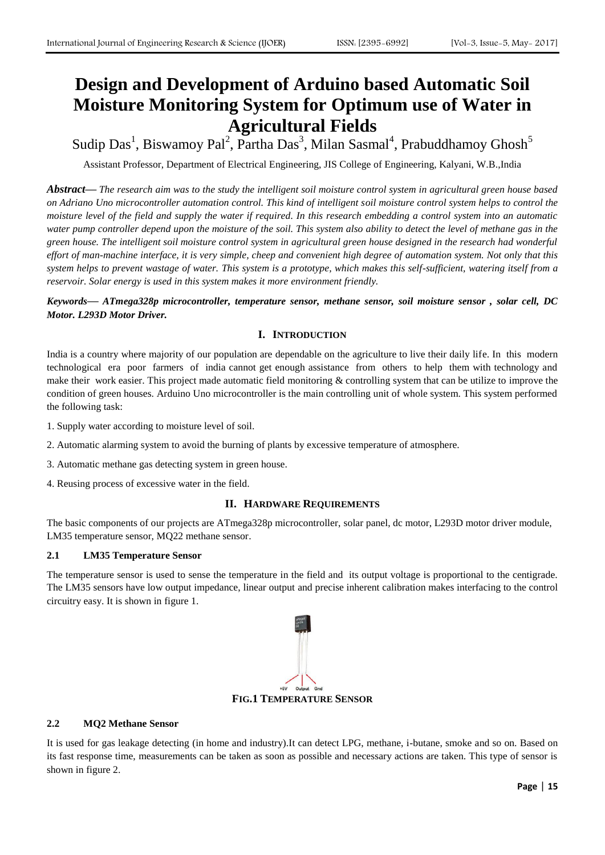# **Design and Development of Arduino based Automatic Soil Moisture Monitoring System for Optimum use of Water in Agricultural Fields**

Sudip Das $^1$ , Biswamoy Pal $^2$ , Partha Das $^3$ , Milan Sasmal $^4$ , Prabuddhamoy Ghosh $^5$ 

Assistant Professor, Department of Electrical Engineering, JIS College of Engineering, Kalyani, W.B.,India

*Abstract***—** *The research aim was to the study the intelligent soil moisture control system in agricultural green house based on Adriano Uno microcontroller automation control. This kind of intelligent soil moisture control system helps to control the moisture level of the field and supply the water if required. In this research embedding a control system into an automatic*  water pump controller depend upon the moisture of the soil. This system also ability to detect the level of methane gas in the *green house. The intelligent soil moisture control system in agricultural green house designed in the research had wonderful effort of man-machine interface, it is very simple, cheep and convenient high degree of automation system. Not only that this system helps to prevent wastage of water. This system is a prototype, which makes this self-sufficient, watering itself from a reservoir. Solar energy is used in this system makes it more environment friendly.* 

*Keywords***—** *ATmega328p microcontroller, temperature sensor, methane sensor, soil moisture sensor , solar cell, DC Motor. L293D Motor Driver.*

#### **I. INTRODUCTION**

India is a country where majority of our population are dependable on the agriculture to live their daily life. In this modern technological era poor farmers of india cannot get enough assistance from others to help them with technology and make their work easier. This project made automatic field monitoring  $\&$  controlling system that can be utilize to improve the condition of green houses. Arduino Uno microcontroller is the main controlling unit of whole system. This system performed the following task:

1. Supply water according to moisture level of soil.

- 2. Automatic alarming system to avoid the burning of plants by excessive temperature of atmosphere.
- 3. Automatic methane gas detecting system in green house.

4. Reusing process of excessive water in the field.

#### **II. HARDWARE REQUIREMENTS**

The basic components of our projects are ATmega328p microcontroller, solar panel, dc motor, L293D motor driver module, LM35 temperature sensor, MQ22 methane sensor.

#### **2.1 LM35 Temperature Sensor**

The temperature sensor is used to sense the temperature in the field and its output voltage is proportional to the centigrade. The LM35 sensors have low output impedance, linear output and precise inherent calibration makes interfacing to the control circuitry easy. It is shown in figure 1.



**FIG.1 TEMPERATURE SENSOR**

#### **2.2 MQ2 Methane Sensor**

It is used for gas leakage detecting (in home and industry).It can detect LPG, methane, i-butane, smoke and so on. Based on its fast response time, measurements can be taken as soon as possible and necessary actions are taken. This type of sensor is shown in figure 2.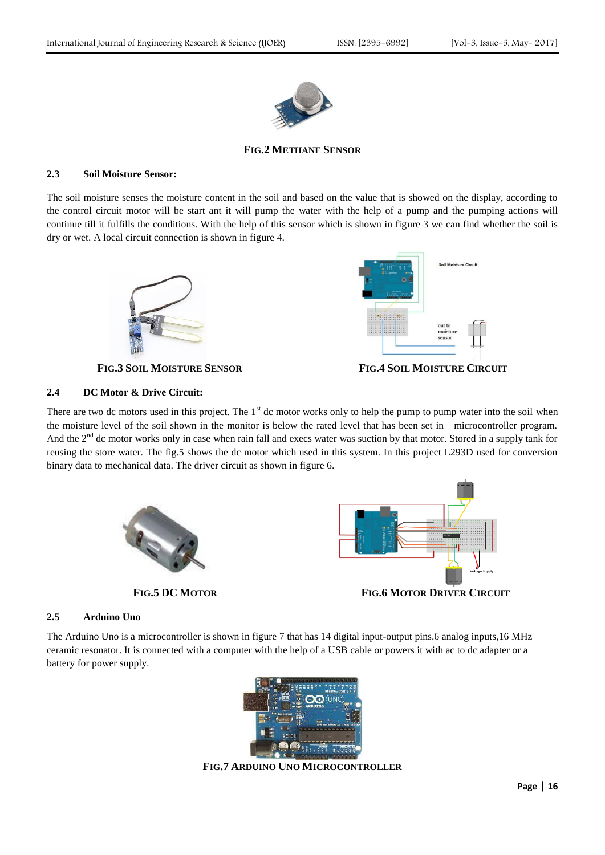

**FIG.2 METHANE SENSOR**

#### **2.3 Soil Moisture Sensor:**

The soil moisture senses the moisture content in the soil and based on the value that is showed on the display, according to the control circuit motor will be start ant it will pump the water with the help of a pump and the pumping actions will continue till it fulfills the conditions. With the help of this sensor which is shown in figure 3 we can find whether the soil is dry or wet. A local circuit connection is shown in figure 4.





**FIG.3 SOIL MOISTURE SENSOR FIG.4 SOIL MOISTURE CIRCUIT**

#### **2.4 DC Motor & Drive Circuit:**

There are two dc motors used in this project. The 1<sup>st</sup> dc motor works only to help the pump to pump water into the soil when the moisture level of the soil shown in the monitor is below the rated level that has been set in microcontroller program. And the  $2<sup>nd</sup>$  dc motor works only in case when rain fall and execs water was suction by that motor. Stored in a supply tank for reusing the store water. The fig.5 shows the dc motor which used in this system. In this project L293D used for conversion binary data to mechanical data. The driver circuit as shown in figure 6.





### **2.5 Arduino Uno**

The Arduino Uno is a microcontroller is shown in figure 7 that has 14 digital input-output pins.6 analog inputs,16 MHz ceramic resonator. It is connected with a computer with the help of a USB cable or powers it with ac to dc adapter or a battery for power supply.



**FIG.7 ARDUINO UNO MICROCONTROLLER**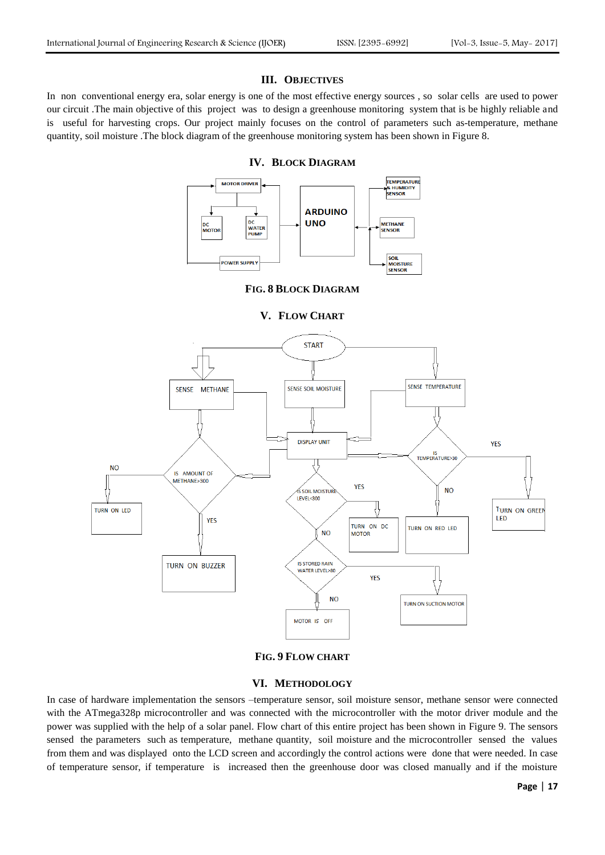#### **III. OBJECTIVES**

In non conventional energy era, solar energy is one of the most effective energy sources , so solar cells are used to power our circuit .The main objective of this project was to design a greenhouse monitoring system that is be highly reliable and is useful for harvesting crops. Our project mainly focuses on the control of parameters such as-temperature, methane quantity, soil moisture .The block diagram of the greenhouse monitoring system has been shown in Figure 8.

#### **IV. BLOCK DIAGRAM**



## **FIG. 8 BLOCK DIAGRAM**

#### **START SENSE TEMPERATURE SENSE SOIL MOISTURE** SENSE METHANE **DISPLAY UNIT YFS** IS<br>TEMPERATURE>30 **NO IS AMOUNT OF** METHANE>300 **YES NO IS SOIL MOISTURE** LEVEL<300 TURN ON GREEN **TURN ON LED** LED **YFS** TURN ON DO TURN ON RED LED **NO MOTOR** TURN ON BUZZER **IS STORED RAIN WATER LEVEL>80 YES NO TURN ON SUCTION MOTOR** MOTOR IS OFF

#### **V. FLOW CHART**

**FIG. 9 FLOW CHART**

#### **VI. METHODOLOGY**

In case of hardware implementation the sensors –temperature sensor, soil moisture sensor, methane sensor were connected with the ATmega328p microcontroller and was connected with the microcontroller with the motor driver module and the power was supplied with the help of a solar panel. Flow chart of this entire project has been shown in Figure 9. The sensors sensed the parameters such as temperature, methane quantity, soil moisture and the microcontroller sensed the values from them and was displayed onto the LCD screen and accordingly the control actions were done that were needed. In case of temperature sensor, if temperature is increased then the greenhouse door was closed manually and if the moisture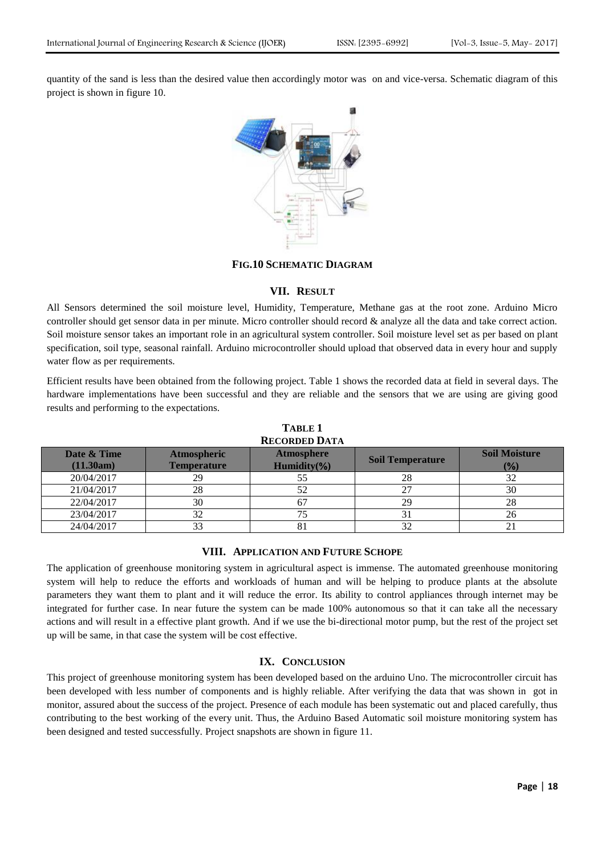quantity of the sand is less than the desired value then accordingly motor was on and vice-versa. Schematic diagram of this project is shown in figure 10.



#### **FIG.10 SCHEMATIC DIAGRAM**

#### **VII. RESULT**

All Sensors determined the soil moisture level, Humidity, Temperature, Methane gas at the root zone. Arduino Micro controller should get sensor data in per minute. Micro controller should record & analyze all the data and take correct action. Soil moisture sensor takes an important role in an agricultural system controller. Soil moisture level set as per based on plant specification, soil type, seasonal rainfall. Arduino microcontroller should upload that observed data in every hour and supply water flow as per requirements.

Efficient results have been obtained from the following project. Table 1 shows the recorded data at field in several days. The hardware implementations have been successful and they are reliable and the sensors that we are using are giving good results and performing to the expectations.

| <b>RECORDED DATA</b> |                    |                   |                         |                      |
|----------------------|--------------------|-------------------|-------------------------|----------------------|
| Date & Time          | <b>Atmospheric</b> | <b>Atmosphere</b> | <b>Soil Temperature</b> | <b>Soil Moisture</b> |
| (11.30am)            | <b>Temperature</b> | Humidity $(\%)$   |                         | $(\%)$               |
| 20/04/2017           | 29                 |                   | 28                      |                      |
| 21/04/2017           | 28                 |                   |                         | 30                   |
| 22/04/2017           | 30                 |                   | 29                      |                      |
| 23/04/2017           | 32                 |                   | 31                      |                      |
| 24/04/2017           | 33                 |                   | 32                      |                      |

**TABLE 1**

#### **VIII. APPLICATION AND FUTURE SCHOPE**

The application of greenhouse monitoring system in agricultural aspect is immense. The automated greenhouse monitoring system will help to reduce the efforts and workloads of human and will be helping to produce plants at the absolute parameters they want them to plant and it will reduce the error. Its ability to control appliances through internet may be integrated for further case. In near future the system can be made 100% autonomous so that it can take all the necessary actions and will result in a effective plant growth. And if we use the bi-directional motor pump, but the rest of the project set up will be same, in that case the system will be cost effective.

#### **IX. CONCLUSION**

This project of greenhouse monitoring system has been developed based on the arduino Uno. The microcontroller circuit has been developed with less number of components and is highly reliable. After verifying the data that was shown in got in monitor, assured about the success of the project. Presence of each module has been systematic out and placed carefully, thus contributing to the best working of the every unit. Thus, the Arduino Based Automatic soil moisture monitoring system has been designed and tested successfully. Project snapshots are shown in figure 11.